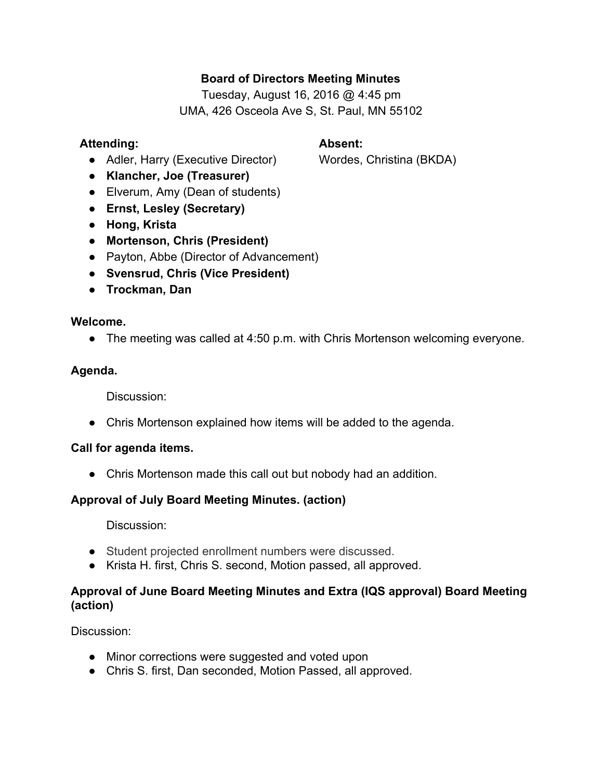# **Board of Directors Meeting Minutes**

Tuesday, August 16, 2016 @ 4:45 pm UMA, 426 Osceola Ave S, St. Paul, MN 55102

## **Attending: Absent:**

● Adler, Harry (Executive Director) Wordes, Christina (BKDA)

- **● Klancher, Joe (Treasurer)**
- Elverum, Amy (Dean of students)
- **● Ernst, Lesley (Secretary)**
- **● Hong, Krista**
- **● Mortenson, Chris (President)**
- Payton, Abbe (Director of Advancement)
- **● Svensrud, Chris (Vice President)**
- **● Trockman, Dan**

### **Welcome.**

● The meeting was called at 4:50 p.m. with Chris Mortenson welcoming everyone.

## **Agenda.**

Discussion:

● Chris Mortenson explained how items will be added to the agenda.

## **Call for agenda items.**

● Chris Mortenson made this call out but nobody had an addition.

# **Approval of July Board Meeting Minutes. (action)**

Discussion:

- Student projected enrollment numbers were discussed.
- Krista H. first, Chris S. second, Motion passed, all approved.

# **Approval of June Board Meeting Minutes and Extra (IQS approval) Board Meeting (action)**

Discussion:

- Minor corrections were suggested and voted upon
- Chris S. first, Dan seconded, Motion Passed, all approved.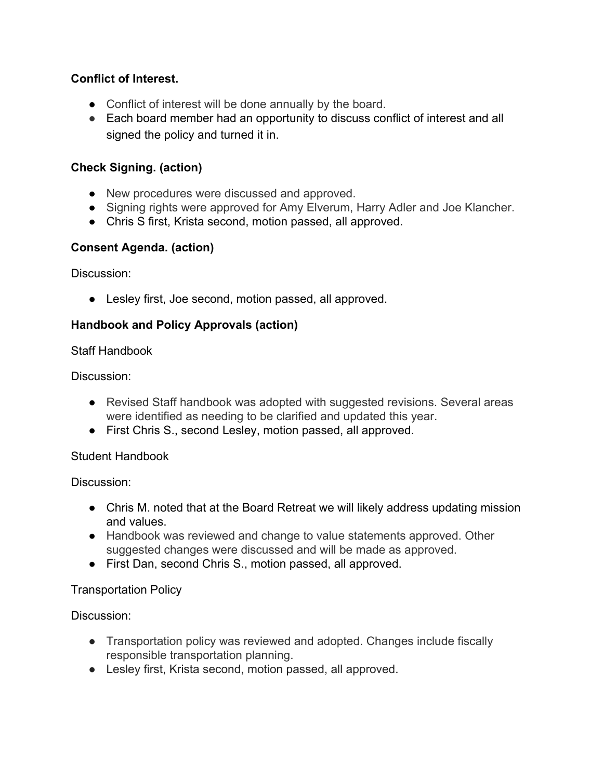# **Conflict of Interest.**

- Conflict of interest will be done annually by the board.
- Each board member had an opportunity to discuss conflict of interest and all signed the policy and turned it in.

# **Check Signing. (action)**

- New procedures were discussed and approved.
- Signing rights were approved for Amy Elverum, Harry Adler and Joe Klancher.
- Chris S first, Krista second, motion passed, all approved.

## **Consent Agenda. (action)**

Discussion:

● Lesley first, Joe second, motion passed, all approved.

### **Handbook and Policy Approvals (action)**

Staff Handbook

Discussion:

- Revised Staff handbook was adopted with suggested revisions. Several areas were identified as needing to be clarified and updated this year.
- First Chris S., second Lesley, motion passed, all approved.

#### Student Handbook

Discussion:

- Chris M. noted that at the Board Retreat we will likely address updating mission and values.
- Handbook was reviewed and change to value statements approved. Other suggested changes were discussed and will be made as approved.
- First Dan, second Chris S., motion passed, all approved.

## Transportation Policy

Discussion:

- Transportation policy was reviewed and adopted. Changes include fiscally responsible transportation planning.
- Lesley first, Krista second, motion passed, all approved.